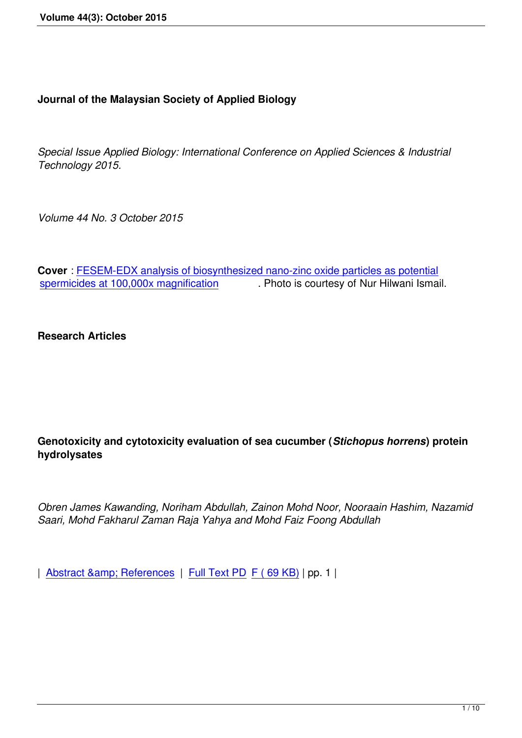## **Journal of the Malaysian Society of Applied Biology**

*Special Issue Applied Biology: International Conference on Applied Sciences & Industrial Technology 2015.*

*Volume 44 No. 3 October 2015*

**Cover** : FESEM-EDX analysis of biosynthesized nano-zinc oxide particles as potential spermicides at 100,000x magnification . Photo is courtesy of Nur Hilwani Ismail . Photo is courtesy of Nur Hilwani Ismail.

**[Research Articles](images/44_3_October_2015/44_1_coverphoto.png)**

## **Genotoxicity and cytotoxicity evaluation of sea cucumber (***Stichopus horrens***) protein hydrolysates**

*Obren James Kawanding, Noriham Abdullah, Zainon Mohd Noor, Nooraain Hashim, Nazamid Saari, Mohd Fakharul Zaman Raja Yahya and Mohd Faiz Foong Abdullah*

| Abstract & amp; References | Full Text PD F (69 KB) | pp. 1 |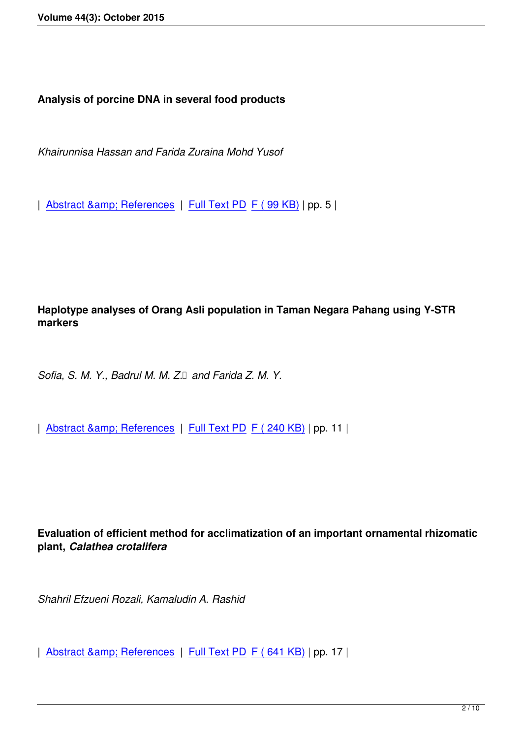**Analysis of porcine DNA in several food products**

*Khairunnisa Hassan and Farida Zuraina Mohd Yusof*

| Abstract & amp; References | Full Text PD F (99 KB) | pp. 5 |

# **Haplotype analyses of Orang Asli population in Taman Negara Pahang using Y-STR markers**

*Sofia, S. M. Y., Badrul M. M. Z. and Farida Z. M. Y.* 

| Abstract & amp; References | Full Text PD F ( 240 KB) | pp. 11 |

**Evaluation of efficient method for acclimatization of an important ornamental rhizomatic plant,** *Calathea crotalifera*

*Shahril Efzueni Rozali, Kamaludin A. Rashid*

| Abstract & amp; References | Full Text PD F (641 KB) | pp. 17 |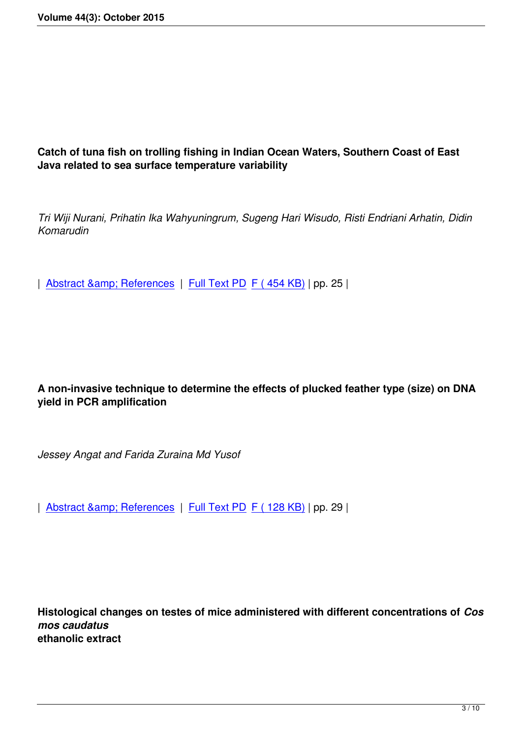**Catch of tuna fish on trolling fishing in Indian Ocean Waters, Southern Coast of East Java related to sea surface temperature variability**

*Tri Wiji Nurani, Prihatin Ika Wahyuningrum, Sugeng Hari Wisudo, Risti Endriani Arhatin, Didin Komarudin*

| Abstract & amp; References | Full Text PD F (454 KB) | pp. 25 |

**A non-invasive technique to determine the effects of plucked feather type (size) on DNA yield in PCR amplification**

*Jessey Angat and Farida Zuraina Md Yusof*

| Abstract & amp; References | Full Text PD F ( 128 KB) | pp. 29 |

**Histological changes on testes of mice administered with different concentrations of** *Cos mos caudatus* **ethanolic extract**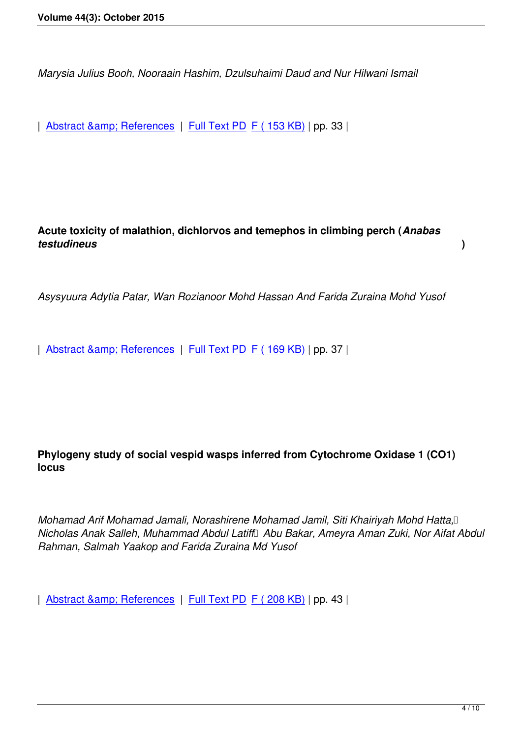*Marysia Julius Booh, Nooraain Hashim, Dzulsuhaimi Daud and Nur Hilwani Ismail*

| Abstract & amp; References | Full Text PD F ( 153 KB) | pp. 33 |

**Acute toxicity of malathion, dichlorvos and temephos in climbing perch (***Anabas testudineus* **)**

*Asysyuura Adytia Patar, Wan Rozianoor Mohd Hassan And Farida Zuraina Mohd Yusof*

| Abstract & amp; References | Full Text PD F ( 169 KB) | pp. 37 |

# **Phylogeny study of social vespid wasps inferred from Cytochrome Oxidase 1 (CO1) locus**

*Mohamad Arif Mohamad Jamali, Norashirene Mohamad Jamil, Siti Khairiyah Mohd Hatta*, *Nicholas Anak Salleh, Muhammad Abdul Latiff Abu Bakar, Ameyra Aman Zuki, Nor Aifat Abdul Rahman, Salmah Yaakop and Farida Zuraina Md Yusof*

| Abstract & amp; References | Full Text PD F ( 208 KB) | pp. 43 |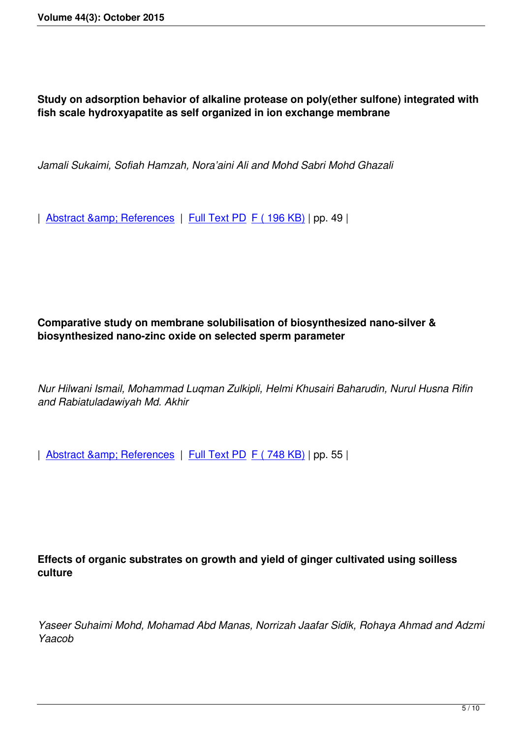**Study on adsorption behavior of alkaline protease on poly(ether sulfone) integrated with fish scale hydroxyapatite as self organized in ion exchange membrane**

*Jamali Sukaimi, Sofiah Hamzah, Nora'aini Ali and Mohd Sabri Mohd Ghazali*

| Abstract & amp; References | Full Text PD F ( 196 KB) | pp. 49 |

#### **Comparative study on membrane solubilisation of biosynthesized nano-silver & biosynthesized nano-zinc oxide on selected sperm parameter**

*Nur Hilwani Ismail, Mohammad Luqman Zulkipli, Helmi Khusairi Baharudin, Nurul Husna Rifin and Rabiatuladawiyah Md. Akhir*

| Abstract & amp; References | Full Text PD F ( 748 KB) | pp. 55 |

# **Effects of organic substrates on growth and yield of ginger cultivated using soilless culture**

*Yaseer Suhaimi Mohd, Mohamad Abd Manas, Norrizah Jaafar Sidik, Rohaya Ahmad and Adzmi Yaacob*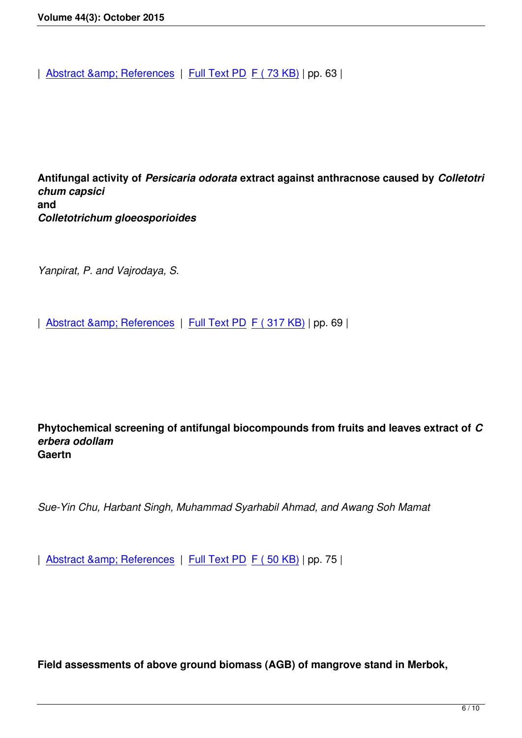**Antifungal activity of** *Persicaria odorata* **extract against anthracnose caused by** *Colletotri chum capsici* **and**  *Colletotrichum gloeosporioides*

*Yanpirat, P. and Vajrodaya, S.*

| Abstract & amp; References | Full Text PD F (317 KB) | pp. 69 |

**Phytochemical screening of antifungal biocompounds from fruits and leaves extract of** *C erbera odollam* **Gaertn** 

*Sue-Yin Chu, Harbant Singh, Muhammad Syarhabil Ahmad, and Awang Soh Mamat*

| Abstract & amp; References | Full Text PD F (50 KB) | pp. 75 |

**Field assessments of above ground biomass (AGB) of mangrove stand in Merbok,**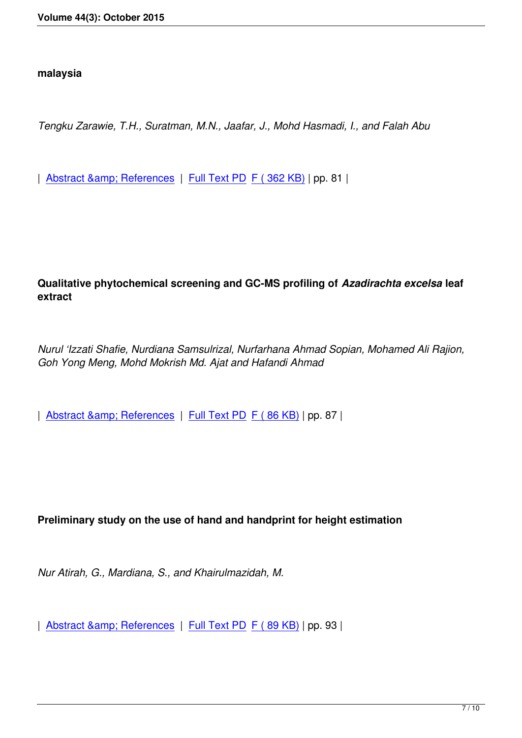*Tengku Zarawie, T.H., Suratman, M.N., Jaafar, J., Mohd Hasmadi, I., and Falah Abu*

| Abstract & amp; References | Full Text PD F (362 KB) | pp. 81 |

**Qualitative phytochemical screening and GC-MS profiling of** *Azadirachta excelsa* **leaf extract**

*Nurul 'Izzati Shafie, Nurdiana Samsulrizal, Nurfarhana Ahmad Sopian, Mohamed Ali Rajion, Goh Yong Meng, Mohd Mokrish Md. Ajat and Hafandi Ahmad*

| Abstract & amp; References | Full Text PD F (86 KB) | pp. 87 |

#### **Preliminary study on the use of hand and handprint for height estimation**

*Nur Atirah, G., Mardiana, S., and Khairulmazidah, M.*

| Abstract & amp; References | Full Text PD F (89 KB) | pp. 93 |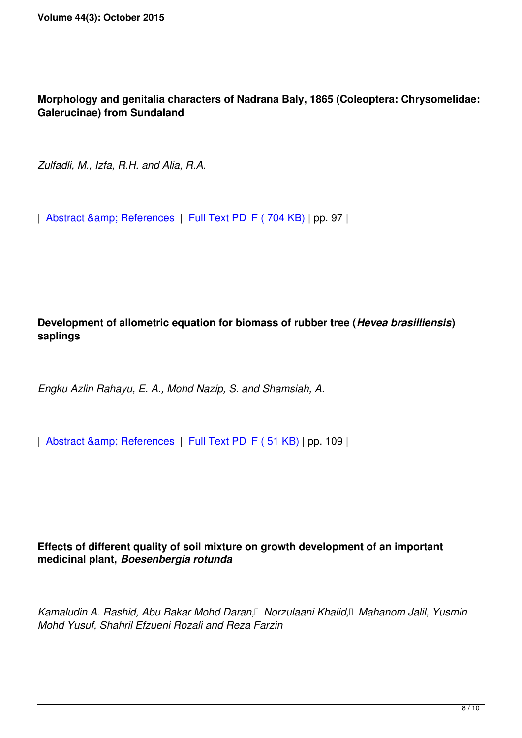**Morphology and genitalia characters of Nadrana Baly, 1865 (Coleoptera: Chrysomelidae: Galerucinae) from Sundaland**

*Zulfadli, M., Izfa, R.H. and Alia, R.A.*

| Abstract & amp; References | Full Text PD F ( 704 KB) | pp. 97 |

# **Development of allometric equation for biomass of rubber tree (***Hevea brasilliensis***) saplings**

*Engku Azlin Rahayu, E. A., Mohd Nazip, S. and Shamsiah, A.*

| Abstract & amp; References | Full Text PD F (51 KB) | pp. 109 |

## **Effects of different quality of soil mixture on growth development of an important medicinal plant,** *Boesenbergia rotunda*

*Kamaludin A. Rashid, Abu Bakar Mohd Daran, Norzulaani Khalid, Mahanom Jalil, Yusmin Mohd Yusuf, Shahril Efzueni Rozali and Reza Farzin*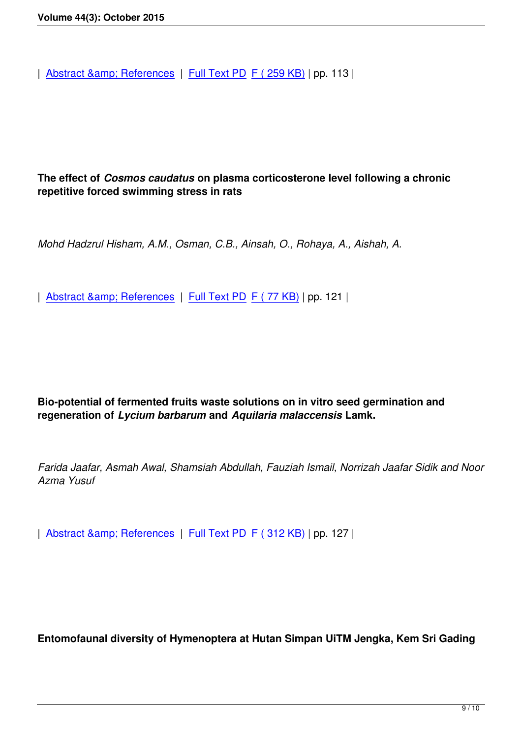## **The effect of** *Cosmos caudatus* **on plasma corticosterone level following a chronic repetitive forced swimming stress in rats**

*Mohd Hadzrul Hisham, A.M., Osman, C.B., Ainsah, O., Rohaya, A., Aishah, A.*

| Abstract & amp; References | Full Text PD F (77 KB) | pp. 121 |

**Bio-potential of fermented fruits waste solutions on in vitro seed germination and regeneration of** *Lycium barbarum* **and** *Aquilaria malaccensis* **Lamk.**

*Farida Jaafar, Asmah Awal, Shamsiah Abdullah, Fauziah Ismail, Norrizah Jaafar Sidik and Noor Azma Yusuf*

| Abstract & amp; References | Full Text PD F (312 KB) | pp. 127 |

**Entomofaunal diversity of Hymenoptera at Hutan Simpan UiTM Jengka, Kem Sri Gading**